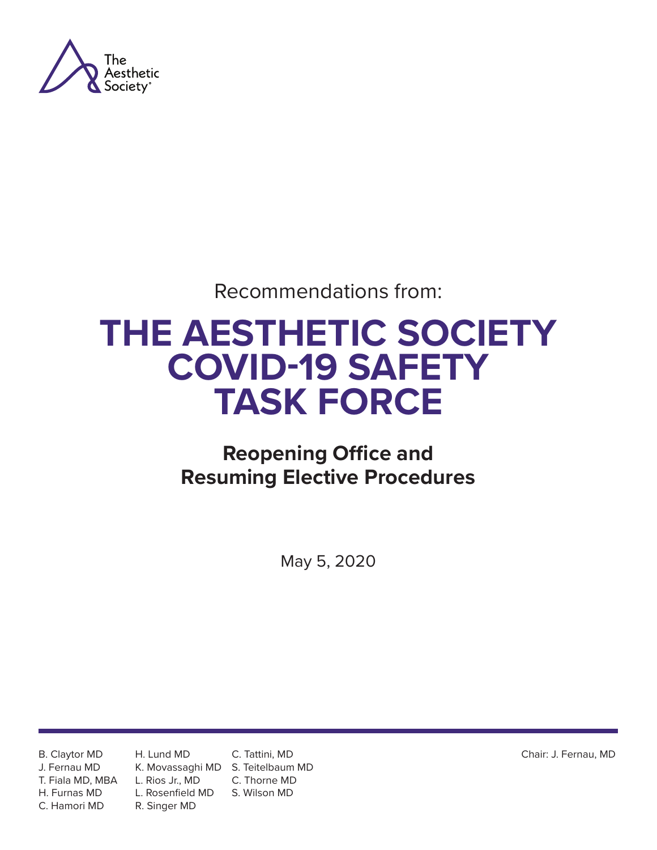

Recommendations from:

## **THE AESTHETIC SOCIETY COVID-19 SAFETY TASK FORCE**

### **Reopening Office and Resuming Elective Procedures**

May 5, 2020

B. Claytor MD J. Fernau MD T. Fiala MD, MBA H. Furnas MD C. Hamori MD

H. Lund MD L. Rios Jr., MD L. Rosenfield MD R. Singer MD

K. Movassaghi MD S. Teitelbaum MD C. Tattini, MD C. Thorne MD S. Wilson MD

Chair: J. Fernau, MD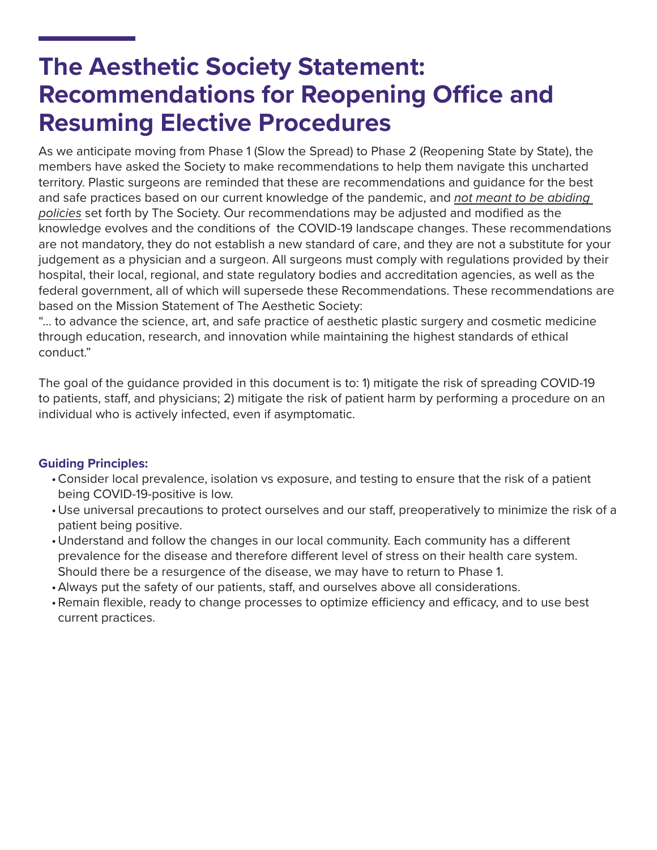### **The Aesthetic Society Statement: Recommendations for Reopening Office and Resuming Elective Procedures**

As we anticipate moving from Phase 1 (Slow the Spread) to Phase 2 (Reopening State by State), the members have asked the Society to make recommendations to help them navigate this uncharted territory. Plastic surgeons are reminded that these are recommendations and guidance for the best and safe practices based on our current knowledge of the pandemic, and *not meant to be abiding policies* set forth by The Society. Our recommendations may be adjusted and modified as the knowledge evolves and the conditions of the COVID-19 landscape changes. These recommendations are not mandatory, they do not establish a new standard of care, and they are not a substitute for your judgement as a physician and a surgeon. All surgeons must comply with regulations provided by their hospital, their local, regional, and state regulatory bodies and accreditation agencies, as well as the federal government, all of which will supersede these Recommendations. These recommendations are based on the Mission Statement of The Aesthetic Society:

"... to advance the science, art, and safe practice of aesthetic plastic surgery and cosmetic medicine through education, research, and innovation while maintaining the highest standards of ethical conduct."

The goal of the guidance provided in this document is to: 1) mitigate the risk of spreading COVID-19 to patients, staff, and physicians; 2) mitigate the risk of patient harm by performing a procedure on an individual who is actively infected, even if asymptomatic.

#### **Guiding Principles:**

- •Consider local prevalence, isolation vs exposure, and testing to ensure that the risk of a patient being COVID-19-positive is low.
- •Use universal precautions to protect ourselves and our staff, preoperatively to minimize the risk of a patient being positive.
- •Understand and follow the changes in our local community. Each community has a different prevalence for the disease and therefore different level of stress on their health care system. Should there be a resurgence of the disease, we may have to return to Phase 1.
- •Always put the safety of our patients, staff, and ourselves above all considerations.
- •Remain flexible, ready to change processes to optimize efficiency and efficacy, and to use best current practices.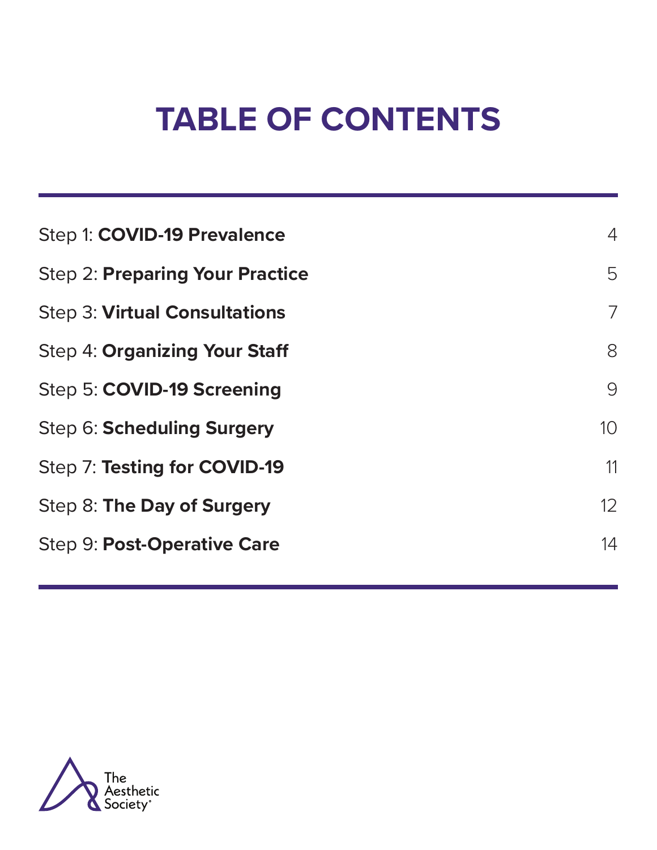# **TABLE OF CONTENTS**

| Step 1: COVID-19 Prevalence            | $\overline{4}$ |
|----------------------------------------|----------------|
| <b>Step 2: Preparing Your Practice</b> | 5              |
| <b>Step 3: Virtual Consultations</b>   | 7              |
| <b>Step 4: Organizing Your Staff</b>   | 8              |
| Step 5: COVID-19 Screening             | 9              |
| Step 6: Scheduling Surgery             | 10             |
| Step 7: Testing for COVID-19           | 11             |
| Step 8: The Day of Surgery             | 12             |
| <b>Step 9: Post-Operative Care</b>     | 14             |
|                                        |                |

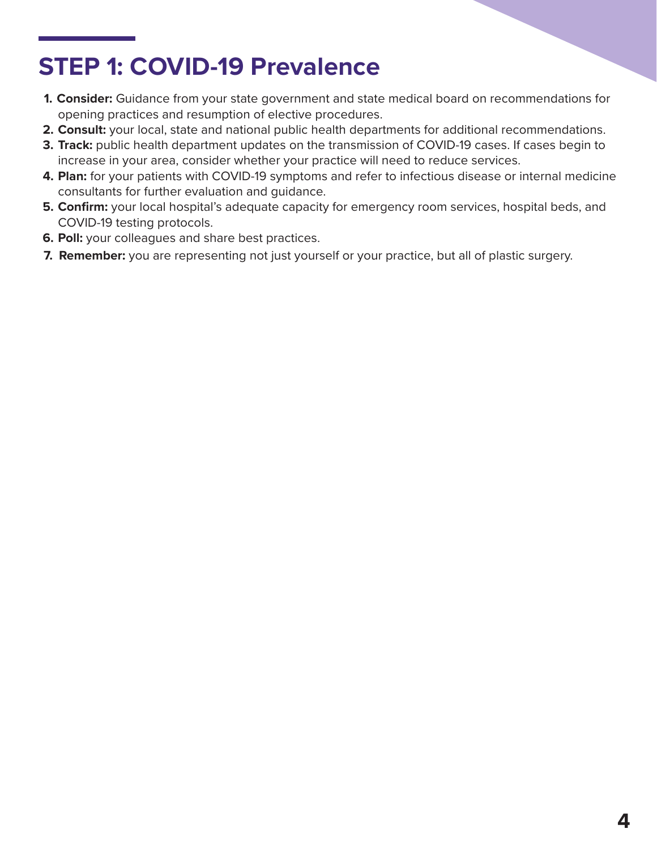### **STEP 1: COVID-19 Prevalence**

- **1. Consider:** Guidance from your state government and state medical board on recommendations for opening practices and resumption of elective procedures.
- **2. Consult:** your local, state and national public health departments for additional recommendations.
- **3. Track:** public health department updates on the transmission of COVID-19 cases. If cases begin to increase in your area, consider whether your practice will need to reduce services.
- **4. Plan:** for your patients with COVID-19 symptoms and refer to infectious disease or internal medicine consultants for further evaluation and guidance.
- **5. Confirm:** your local hospital's adequate capacity for emergency room services, hospital beds, and COVID-19 testing protocols.
- **6. Poll:** your colleagues and share best practices.
- **7. Remember:** you are representing not just yourself or your practice, but all of plastic surgery.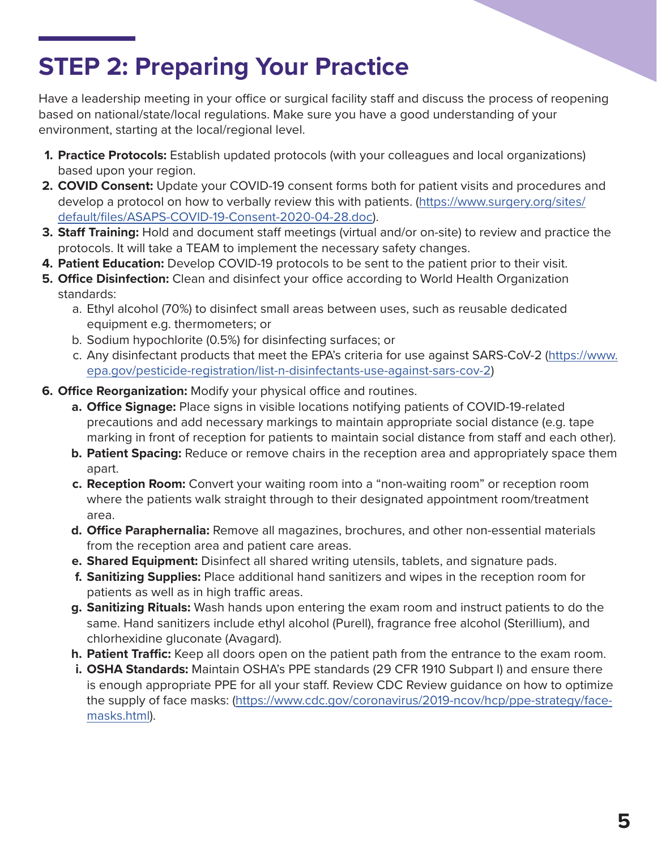### **STEP 2: Preparing Your Practice**

Have a leadership meeting in your office or surgical facility staff and discuss the process of reopening based on national/state/local regulations. Make sure you have a good understanding of your environment, starting at the local/regional level.

- **1. Practice Protocols:** Establish updated protocols (with your colleagues and local organizations) based upon your region.
- **2. COVID Consent:** Update your COVID-19 consent forms both for patient visits and procedures and develop a protocol on how to verbally review this with patients. ([https://www.surgery.org/sites/](https://www.surgery.org/sites/default/files/ASAPS-COVID-19-Consent-2020-04-28.doc) [default/files/ASAPS-COVID-19-Consent-2020-04-28.doc](https://www.surgery.org/sites/default/files/ASAPS-COVID-19-Consent-2020-04-28.doc)).
- **3. Staff Training:** Hold and document staff meetings (virtual and/or on-site) to review and practice the protocols. It will take a TEAM to implement the necessary safety changes.
- **4. Patient Education:** Develop COVID-19 protocols to be sent to the patient prior to their visit.
- **5. Office Disinfection:** Clean and disinfect your office according to World Health Organization standards:
	- a. Ethyl alcohol (70%) to disinfect small areas between uses, such as reusable dedicated equipment e.g. thermometers; or
	- b. Sodium hypochlorite (0.5%) for disinfecting surfaces; or
	- c. Any disinfectant products that meet the EPA's criteria for use against SARS-CoV-2 [\(https://www.](https://www.epa.gov/pesticide-registration/list-n-disinfectants-use-against-sars-cov-2) [epa.gov/pesticide-registration/list-n-disinfectants-use-against-sars-cov-2\)](https://www.epa.gov/pesticide-registration/list-n-disinfectants-use-against-sars-cov-2)
- **6. Office Reorganization:** Modify your physical office and routines.
	- **a. Office Signage:** Place signs in visible locations notifying patients of COVID-19-related precautions and add necessary markings to maintain appropriate social distance (e.g. tape marking in front of reception for patients to maintain social distance from staff and each other).
	- **b. Patient Spacing:** Reduce or remove chairs in the reception area and appropriately space them apart.
	- **c. Reception Room:** Convert your waiting room into a "non-waiting room" or reception room where the patients walk straight through to their designated appointment room/treatment area.
	- **d. Office Paraphernalia:** Remove all magazines, brochures, and other non-essential materials from the reception area and patient care areas.
	- **e. Shared Equipment:** Disinfect all shared writing utensils, tablets, and signature pads.
	- **f. Sanitizing Supplies:** Place additional hand sanitizers and wipes in the reception room for patients as well as in high traffic areas.
	- **g. Sanitizing Rituals:** Wash hands upon entering the exam room and instruct patients to do the same. Hand sanitizers include ethyl alcohol (Purell), fragrance free alcohol (Sterillium), and chlorhexidine gluconate (Avagard).
	- **h. Patient Traffic:** Keep all doors open on the patient path from the entrance to the exam room.
	- **i. OSHA Standards:** Maintain OSHA's PPE standards (29 CFR 1910 Subpart I) and ensure there is enough appropriate PPE for all your staff. Review CDC Review guidance on how to optimize the supply of face masks: ([https://www.cdc.gov/coronavirus/2019-ncov/hcp/ppe-strategy/face](https://www.cdc.gov/coronavirus/2019-ncov/hcp/ppe-strategy/face-masks.html)[masks.html\)](https://www.cdc.gov/coronavirus/2019-ncov/hcp/ppe-strategy/face-masks.html).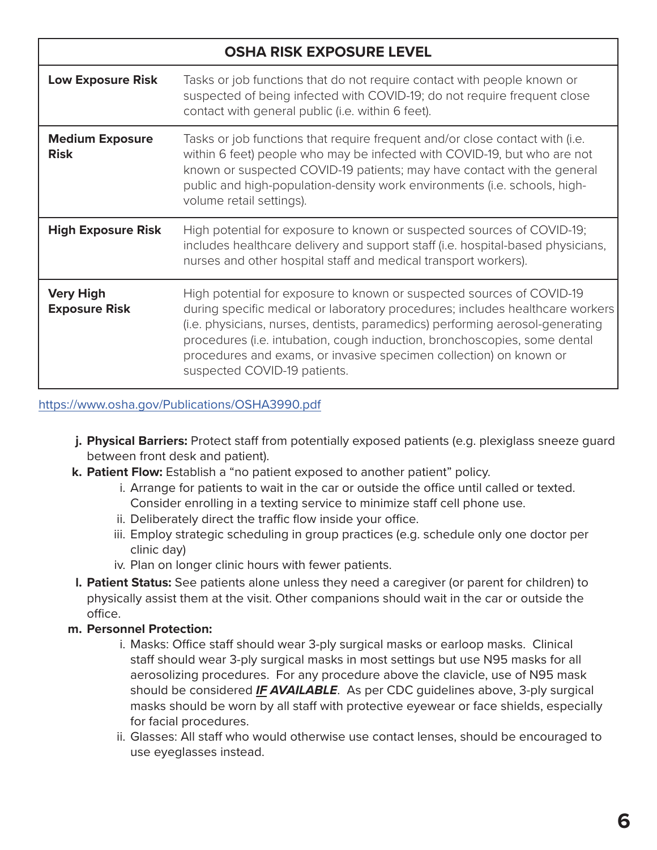| <b>OSHA RISK EXPOSURE LEVEL</b>          |                                                                                                                                                                                                                                                                                                                                                                                                                            |
|------------------------------------------|----------------------------------------------------------------------------------------------------------------------------------------------------------------------------------------------------------------------------------------------------------------------------------------------------------------------------------------------------------------------------------------------------------------------------|
| <b>Low Exposure Risk</b>                 | Tasks or job functions that do not require contact with people known or<br>suspected of being infected with COVID-19; do not require frequent close<br>contact with general public (i.e. within 6 feet).                                                                                                                                                                                                                   |
| <b>Medium Exposure</b><br><b>Risk</b>    | Tasks or job functions that require frequent and/or close contact with (i.e.<br>within 6 feet) people who may be infected with COVID-19, but who are not<br>known or suspected COVID-19 patients; may have contact with the general<br>public and high-population-density work environments (i.e. schools, high-<br>volume retail settings).                                                                               |
| <b>High Exposure Risk</b>                | High potential for exposure to known or suspected sources of COVID-19;<br>includes healthcare delivery and support staff (i.e. hospital-based physicians,<br>nurses and other hospital staff and medical transport workers).                                                                                                                                                                                               |
| <b>Very High</b><br><b>Exposure Risk</b> | High potential for exposure to known or suspected sources of COVID-19<br>during specific medical or laboratory procedures; includes healthcare workers<br>(i.e. physicians, nurses, dentists, paramedics) performing aerosol-generating<br>procedures (i.e. intubation, cough induction, bronchoscopies, some dental<br>procedures and exams, or invasive specimen collection) on known or<br>suspected COVID-19 patients. |

<https://www.osha.gov/Publications/OSHA3990.pdf>

- **j. Physical Barriers:** Protect staff from potentially exposed patients (e.g. plexiglass sneeze guard between front desk and patient).
- **k. Patient Flow:** Establish a "no patient exposed to another patient" policy.
	- i. Arrange for patients to wait in the car or outside the office until called or texted. Consider enrolling in a texting service to minimize staff cell phone use.
	- ii. Deliberately direct the traffic flow inside your office.
	- iii. Employ strategic scheduling in group practices (e.g. schedule only one doctor per clinic day)
	- iv. Plan on longer clinic hours with fewer patients.
- **l. Patient Status:** See patients alone unless they need a caregiver (or parent for children) to physically assist them at the visit. Other companions should wait in the car or outside the office.

#### **m. Personnel Protection:**

- i. Masks: Office staff should wear 3-ply surgical masks or earloop masks. Clinical staff should wear 3-ply surgical masks in most settings but use N95 masks for all aerosolizing procedures. For any procedure above the clavicle, use of N95 mask should be considered *IF AVAILABLE*. As per CDC guidelines above, 3-ply surgical masks should be worn by all staff with protective eyewear or face shields, especially for facial procedures.
- ii. Glasses: All staff who would otherwise use contact lenses, should be encouraged to use eyeglasses instead.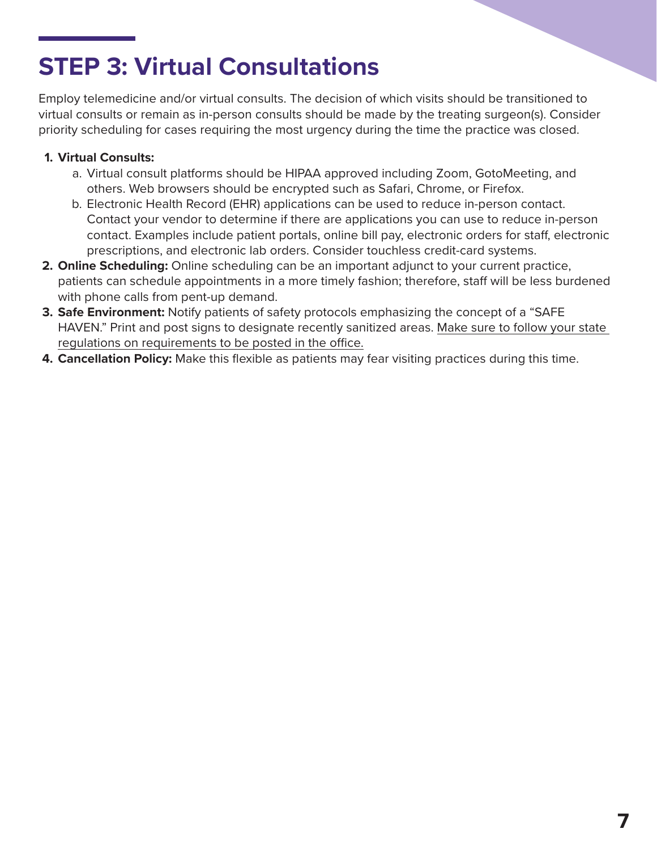### **STEP 3: Virtual Consultations**

Employ telemedicine and/or virtual consults. The decision of which visits should be transitioned to virtual consults or remain as in-person consults should be made by the treating surgeon(s). Consider priority scheduling for cases requiring the most urgency during the time the practice was closed.

#### **1. Virtual Consults:**

- a. Virtual consult platforms should be HIPAA approved including Zoom, GotoMeeting, and others. Web browsers should be encrypted such as Safari, Chrome, or Firefox.
- b. Electronic Health Record (EHR) applications can be used to reduce in-person contact. Contact your vendor to determine if there are applications you can use to reduce in-person contact. Examples include patient portals, online bill pay, electronic orders for staff, electronic prescriptions, and electronic lab orders. Consider touchless credit-card systems.
- **2. Online Scheduling:** Online scheduling can be an important adjunct to your current practice, patients can schedule appointments in a more timely fashion; therefore, staff will be less burdened with phone calls from pent-up demand.
- **3. Safe Environment:** Notify patients of safety protocols emphasizing the concept of a "SAFE HAVEN." Print and post signs to designate recently sanitized areas. Make sure to follow your state regulations on requirements to be posted in the office.
- **4. Cancellation Policy:** Make this flexible as patients may fear visiting practices during this time.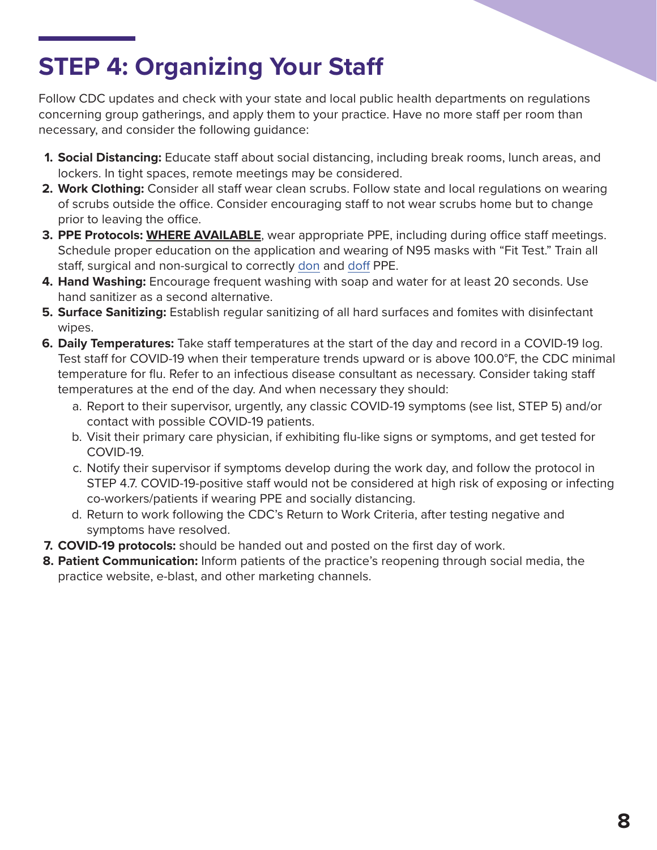### **STEP 4: Organizing Your Staff**

Follow CDC updates and check with your state and local public health departments on regulations concerning group gatherings, and apply them to your practice. Have no more staff per room than necessary, and consider the following guidance:

- **1. Social Distancing:** Educate staff about social distancing, including break rooms, lunch areas, and lockers. In tight spaces, remote meetings may be considered.
- **2. Work Clothing:** Consider all staff wear clean scrubs. Follow state and local regulations on wearing of scrubs outside the office. Consider encouraging staff to not wear scrubs home but to change prior to leaving the office.
- **3. PPE Protocols: WHERE AVAILABLE**, wear appropriate PPE, including during office staff meetings. Schedule proper education on the application and wearing of N95 masks with "Fit Test." Train all staff, surgical and non-surgical to correctly [don](https://www.youtube.com/watch?v=of73FN086E8&t=38s) and [doff](https://www.youtube.com/watch?v=PQxOc13DxvQ) PPE.
- **4. Hand Washing:** Encourage frequent washing with soap and water for at least 20 seconds. Use hand sanitizer as a second alternative.
- **5. Surface Sanitizing:** Establish regular sanitizing of all hard surfaces and fomites with disinfectant wipes.
- **6. Daily Temperatures:** Take staff temperatures at the start of the day and record in a COVID-19 log. Test staff for COVID-19 when their temperature trends upward or is above 100.0°F, the CDC minimal temperature for flu. Refer to an infectious disease consultant as necessary. Consider taking staff temperatures at the end of the day. And when necessary they should:
	- a. Report to their supervisor, urgently, any classic COVID-19 symptoms (see list, STEP 5) and/or contact with possible COVID-19 patients.
	- b. Visit their primary care physician, if exhibiting flu-like signs or symptoms, and get tested for COVID-19.
	- c. Notify their supervisor if symptoms develop during the work day, and follow the protocol in STEP 4.7. COVID-19-positive staff would not be considered at high risk of exposing or infecting co-workers/patients if wearing PPE and socially distancing.
	- d. Return to work following the CDC's Return to Work Criteria, after testing negative and symptoms have resolved.
- **7. COVID-19 protocols:** should be handed out and posted on the first day of work.
- **8. Patient Communication:** Inform patients of the practice's reopening through social media, the practice website, e-blast, and other marketing channels.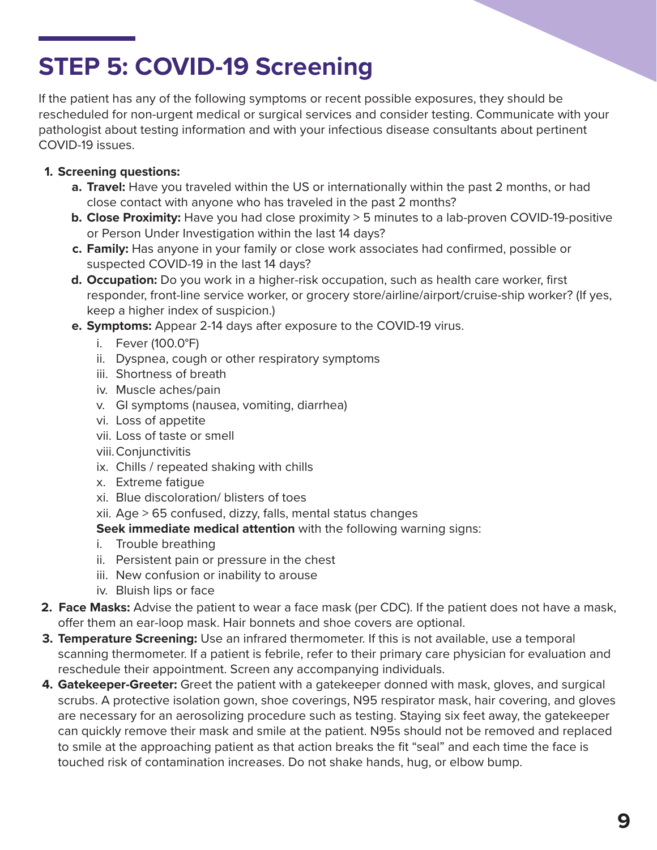### **STEP 5: COVID-19 Screening**

If the patient has any of the following symptoms or recent possible exposures, they should be rescheduled for non-urgent medical or surgical services and consider testing. Communicate with your pathologist about testing information and with your infectious disease consultants about pertinent COVID-19 issues.

#### **1. Screening questions:**

- **a. Travel:** Have you traveled within the US or internationally within the past 2 months, or had close contact with anyone who has traveled in the past 2 months?
- **b. Close Proximity:** Have you had close proximity > 5 minutes to a lab-proven COVID-19-positive or Person Under Investigation within the last 14 days?
- **c. Family:** Has anyone in your family or close work associates had confirmed, possible or suspected COVID-19 in the last 14 days?
- **d. Occupation:** Do you work in a higher-risk occupation, such as health care worker, first responder, front-line service worker, or grocery store/airline/airport/cruise-ship worker? (If yes, keep a higher index of suspicion.)
- **e. Symptoms:** Appear 2-14 days after exposure to the COVID-19 virus.
	- i. Fever (100.0°F)
	- ii. Dyspnea, cough or other respiratory symptoms
	- iii. Shortness of breath
	- iv. Muscle aches/pain
	- v. GI symptoms (nausea, vomiting, diarrhea)
	- vi. Loss of appetite
	- vii. Loss of taste or smell
	- viii.Conjunctivitis
	- ix. Chills / repeated shaking with chills
	- x. Extreme fatigue
	- xi. Blue discoloration/ blisters of toes
	- xii. Age > 65 confused, dizzy, falls, mental status changes
	- **Seek immediate medical attention** with the following warning signs:
	- i. Trouble breathing
	- ii. Persistent pain or pressure in the chest
	- iii. New confusion or inability to arouse
	- iv. Bluish lips or face
- **2. Face Masks:** Advise the patient to wear a face mask (per CDC). If the patient does not have a mask, offer them an ear-loop mask. Hair bonnets and shoe covers are optional.
- **3. Temperature Screening:** Use an infrared thermometer. If this is not available, use a temporal scanning thermometer. If a patient is febrile, refer to their primary care physician for evaluation and reschedule their appointment. Screen any accompanying individuals.
- **4. Gatekeeper-Greeter:** Greet the patient with a gatekeeper donned with mask, gloves, and surgical scrubs. A protective isolation gown, shoe coverings, N95 respirator mask, hair covering, and gloves are necessary for an aerosolizing procedure such as testing. Staying six feet away, the gatekeeper can quickly remove their mask and smile at the patient. N95s should not be removed and replaced to smile at the approaching patient as that action breaks the fit "seal" and each time the face is touched risk of contamination increases. Do not shake hands, hug, or elbow bump.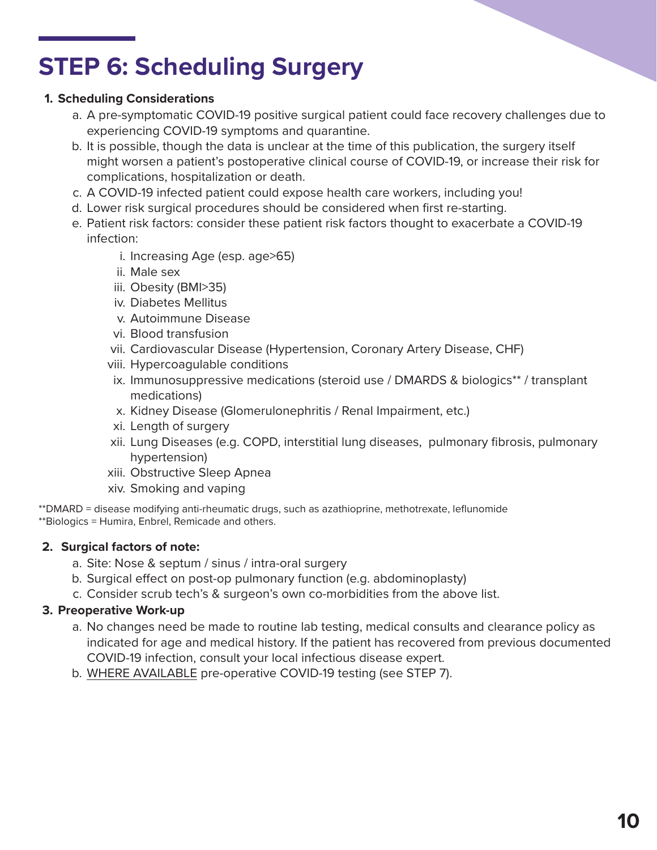### **STEP 6: Scheduling Surgery**

#### **1. Scheduling Considerations**

- a. A pre-symptomatic COVID-19 positive surgical patient could face recovery challenges due to experiencing COVID-19 symptoms and quarantine.
- b. It is possible, though the data is unclear at the time of this publication, the surgery itself might worsen a patient's postoperative clinical course of COVID-19, or increase their risk for complications, hospitalization or death.
- c. A COVID-19 infected patient could expose health care workers, including you!
- d. Lower risk surgical procedures should be considered when first re-starting.
- e. Patient risk factors: consider these patient risk factors thought to exacerbate a COVID-19 infection:
	- i. Increasing Age (esp. age>65)
	- ii. Male sex
	- iii. Obesity (BMI>35)
	- iv. Diabetes Mellitus
	- v. Autoimmune Disease
	- vi. Blood transfusion
	- vii. Cardiovascular Disease (Hypertension, Coronary Artery Disease, CHF)
	- viii. Hypercoagulable conditions
	- ix. Immunosuppressive medications (steroid use / DMARDS & biologics\*\* / transplant medications)
	- x. Kidney Disease (Glomerulonephritis / Renal Impairment, etc.)
	- xi. Length of surgery
	- xii. Lung Diseases (e.g. COPD, interstitial lung diseases, pulmonary fibrosis, pulmonary hypertension)
	- xiii. Obstructive Sleep Apnea
	- xiv. Smoking and vaping

\*\*DMARD = disease modifying anti-rheumatic drugs, such as azathioprine, methotrexate, leflunomide \*\*Biologics = Humira, Enbrel, Remicade and others.

#### **2. Surgical factors of note:**

- a. Site: Nose & septum / sinus / intra-oral surgery
- b. Surgical effect on post-op pulmonary function (e.g. abdominoplasty)
- c. Consider scrub tech's & surgeon's own co-morbidities from the above list.

#### **3. Preoperative Work-up**

- a. No changes need be made to routine lab testing, medical consults and clearance policy as indicated for age and medical history. If the patient has recovered from previous documented COVID-19 infection, consult your local infectious disease expert.
- b. WHERE AVAILABLE pre-operative COVID-19 testing (see STEP 7).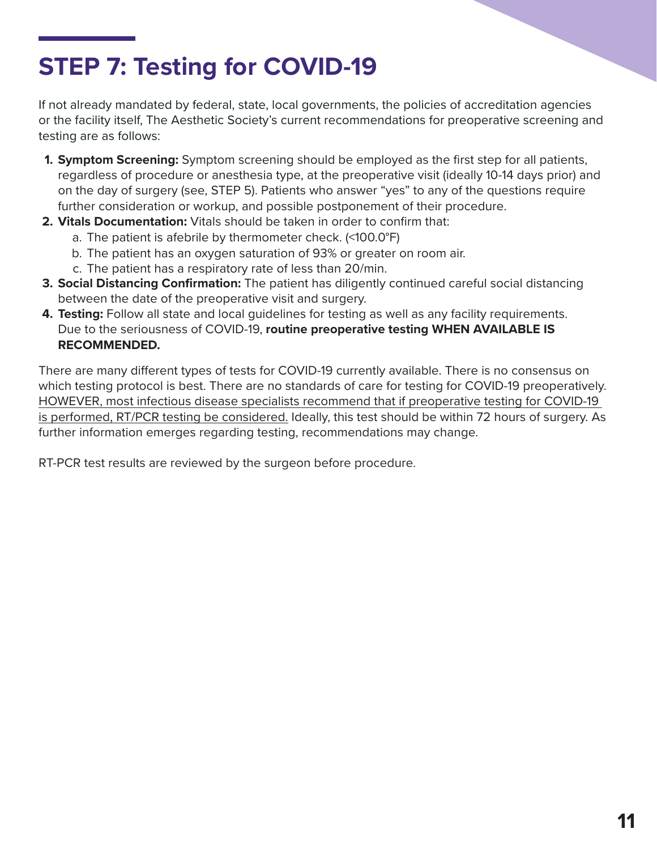### **STEP 7: Testing for COVID-19**

If not already mandated by federal, state, local governments, the policies of accreditation agencies or the facility itself, The Aesthetic Society's current recommendations for preoperative screening and testing are as follows:

- **1. Symptom Screening:** Symptom screening should be employed as the first step for all patients, regardless of procedure or anesthesia type, at the preoperative visit (ideally 10-14 days prior) and on the day of surgery (see, STEP 5). Patients who answer "yes" to any of the questions require further consideration or workup, and possible postponement of their procedure.
- **2. Vitals Documentation:** Vitals should be taken in order to confirm that:
	- a. The patient is afebrile by thermometer check. (<100.0°F)
	- b. The patient has an oxygen saturation of 93% or greater on room air.
	- c. The patient has a respiratory rate of less than 20/min.
- **3. Social Distancing Confirmation:** The patient has diligently continued careful social distancing between the date of the preoperative visit and surgery.
- **4. Testing:** Follow all state and local guidelines for testing as well as any facility requirements. Due to the seriousness of COVID-19, **routine preoperative testing WHEN AVAILABLE IS RECOMMENDED.**

There are many different types of tests for COVID-19 currently available. There is no consensus on which testing protocol is best. There are no standards of care for testing for COVID-19 preoperatively. HOWEVER, most infectious disease specialists recommend that if preoperative testing for COVID-19 is performed, RT/PCR testing be considered. Ideally, this test should be within 72 hours of surgery. As further information emerges regarding testing, recommendations may change.

RT-PCR test results are reviewed by the surgeon before procedure.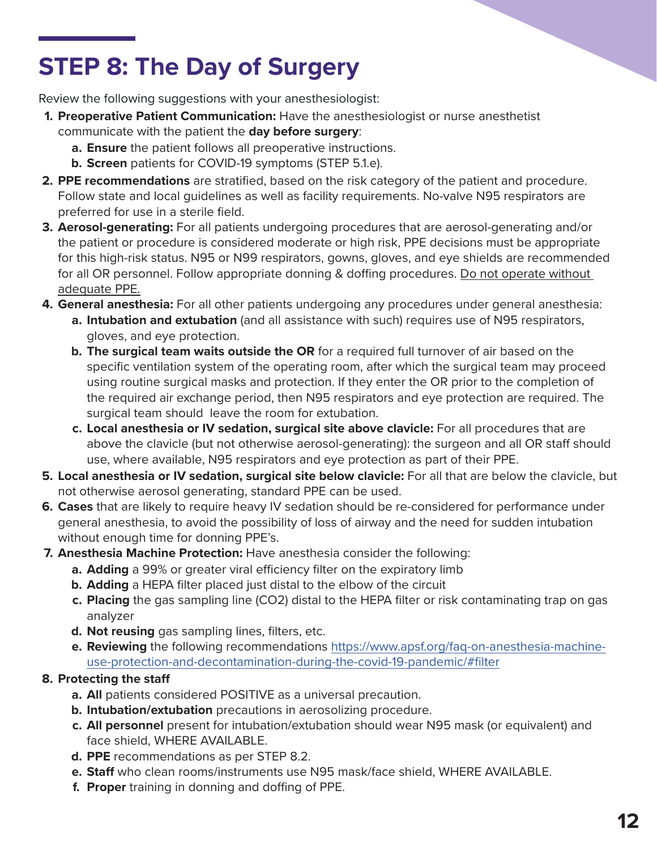## **STEP 8: The Day of Surgery**

Review the following suggestions with your anesthesiologist:

- **1. Preoperative Patient Communication:** Have the anesthesiologist or nurse anesthetist communicate with the patient the **day before surgery**:
	- **a. Ensure** the patient follows all preoperative instructions.
	- **b. Screen** patients for COVID-19 symptoms (STEP 5.1.e).
- **2. PPE recommendations** are stratified, based on the risk category of the patient and procedure. Follow state and local guidelines as well as facility requirements. No-valve N95 respirators are preferred for use in a sterile field.
- **3. Aerosol-generating:** For all patients undergoing procedures that are aerosol-generating and/or the patient or procedure is considered moderate or high risk, PPE decisions must be appropriate for this high-risk status. N95 or N99 respirators, gowns, gloves, and eye shields are recommended for all OR personnel. Follow appropriate donning & doffing procedures. Do not operate without adequate PPE.
- **4. General anesthesia:** For all other patients undergoing any procedures under general anesthesia:
	- **a. Intubation and extubation** (and all assistance with such) requires use of N95 respirators, gloves, and eye protection.
	- **b. The surgical team waits outside the OR** for a required full turnover of air based on the specific ventilation system of the operating room, after which the surgical team may proceed using routine surgical masks and protection. If they enter the OR prior to the completion of the required air exchange period, then N95 respirators and eye protection are required. The surgical team should leave the room for extubation.
	- **c. Local anesthesia or IV sedation, surgical site above clavicle:** For all procedures that are above the clavicle (but not otherwise aerosol-generating): the surgeon and all OR staff should use, where available, N95 respirators and eye protection as part of their PPE.
- **5. Local anesthesia or IV sedation, surgical site below clavicle:** For all that are below the clavicle, but not otherwise aerosol generating, standard PPE can be used.
- **6. Cases** that are likely to require heavy IV sedation should be re-considered for performance under general anesthesia, to avoid the possibility of loss of airway and the need for sudden intubation without enough time for donning PPE's.
- **7. Anesthesia Machine Protection:** Have anesthesia consider the following:
	- **a. Adding** a 99% or greater viral efficiency filter on the expiratory limb
	- **b. Adding** a HEPA filter placed just distal to the elbow of the circuit
	- **c. Placing** the gas sampling line (CO2) distal to the HEPA filter or risk contaminating trap on gas analyzer
	- **d. Not reusing** gas sampling lines, filters, etc.
	- **e. Reviewing** the following recommendations [https://www.apsf.org/faq-on-anesthesia-machine](https://www.apsf.org/faq-on-anesthesia-machine-use-protection-and-decontamination-during-the-covid-19-pandemic/#filter)[use-protection-and-decontamination-during-the-covid-19-pandemic/#filter](https://www.apsf.org/faq-on-anesthesia-machine-use-protection-and-decontamination-during-the-covid-19-pandemic/#filter)

#### **8. Protecting the staff**

- **a. All** patients considered POSITIVE as a universal precaution.
- **b. Intubation/extubation** precautions in aerosolizing procedure.
- **c. All personnel** present for intubation/extubation should wear N95 mask (or equivalent) and face shield, WHERE AVAILABLE.
- **d. PPE** recommendations as per STEP 8.2.
- **e. Staff** who clean rooms/instruments use N95 mask/face shield, WHERE AVAILABLE.
- **f. Proper** training in donning and doffing of PPE.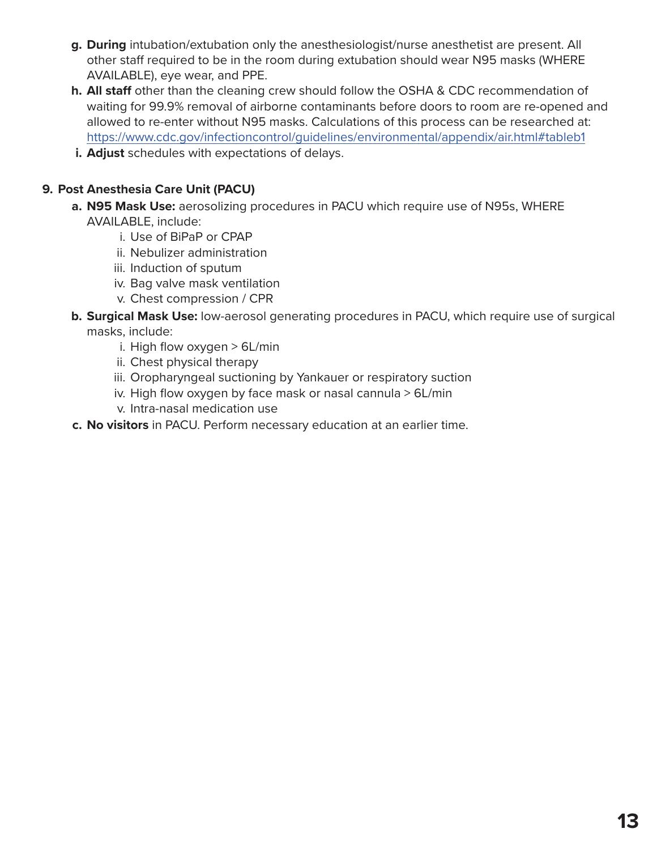- **g. During** intubation/extubation only the anesthesiologist/nurse anesthetist are present. All other staff required to be in the room during extubation should wear N95 masks (WHERE AVAILABLE), eye wear, and PPE.
- **h. All staff** other than the cleaning crew should follow the OSHA & CDC recommendation of waiting for 99.9% removal of airborne contaminants before doors to room are re-opened and allowed to re-enter without N95 masks. Calculations of this process can be researched at: <https://www.cdc.gov/infectioncontrol/guidelines/environmental/appendix/air.html#tableb1>
- **i. Adjust** schedules with expectations of delays.

#### **9. Post Anesthesia Care Unit (PACU)**

- **a. N95 Mask Use:** aerosolizing procedures in PACU which require use of N95s, WHERE AVAILABLE, include:
	- i. Use of BiPaP or CPAP
	- ii. Nebulizer administration
	- iii. Induction of sputum
	- iv. Bag valve mask ventilation
	- v. Chest compression / CPR
- **b. Surgical Mask Use:** low-aerosol generating procedures in PACU, which require use of surgical masks, include:
	- i. High flow oxygen > 6L/min
	- ii. Chest physical therapy
	- iii. Oropharyngeal suctioning by Yankauer or respiratory suction
	- iv. High flow oxygen by face mask or nasal cannula > 6L/min
	- v. Intra-nasal medication use
- **c. No visitors** in PACU. Perform necessary education at an earlier time.